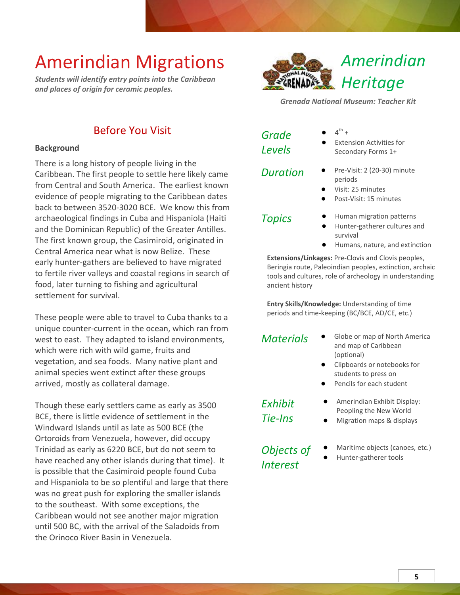*Students will identify entry points into the Caribbean and places of origin for ceramic peoples.*



*Grenada National Museum: Teacher Kit*

### Before You Visit

#### **Background**

There is a long history of people living in the Caribbean. The first people to settle here likely came from Central and South America. The earliest known evidence of people migrating to the Caribbean dates back to between 3520-3020 BCE. We know this from archaeological findings in Cuba and Hispaniola (Haiti and the Dominican Republic) of the Greater Antilles. The first known group, the Casimiroid, originated in Central America near what is now Belize. These early hunter-gathers are believed to have migrated to fertile river valleys and coastal regions in search of food, later turning to fishing and agricultural settlement for survival.

These people were able to travel to Cuba thanks to a unique counter-current in the ocean, which ran from west to east. They adapted to island environments, which were rich with wild game, fruits and vegetation, and sea foods. Many native plant and animal species went extinct after these groups arrived, mostly as collateral damage.

Though these early settlers came as early as 3500 BCE, there is little evidence of settlement in the Windward Islands until as late as 500 BCE (the Ortoroids from Venezuela, however, did occupy Trinidad as early as 6220 BCE, but do not seem to have reached any other islands during that time). It is possible that the Casimiroid people found Cuba and Hispaniola to be so plentiful and large that there was no great push for exploring the smaller islands to the southeast. With some exceptions, the Caribbean would not see another major migration until 500 BC, with the arrival of the Saladoids from the Orinoco River Basin in Venezuela.

| Grade  |  |
|--------|--|
| Levels |  |

- $\bullet$  4<sup>th</sup> +
- **Extension Activities for** Secondary Forms 1+

- *Duration* **●** Pre-Visit: 2 (20-30) minute periods
	- **●** Visit: 25 minutes
	- Post-Visit: 15 minutes

- *Topics* **●** Human migration patterns
	- **●** Hunter-gatherer cultures and survival
	- **●** Humans, nature, and extinction

**Extensions/Linkages:** Pre-Clovis and Clovis peoples, Beringia route, Paleoindian peoples, extinction, archaic tools and cultures, role of archeology in understanding ancient history

**Entry Skills/Knowledge:** Understanding of time periods and time-keeping (BC/BCE, AD/CE, etc.)

- *Materials* **●** Globe or map of North America and map of Caribbean (optional)
	- **●** Clipboards or notebooks for students to press on
	- Pencils for each student

*Exhibit Tie-Ins*

- **●** Amerindian Exhibit Display: Peopling the New World
- **●** Migration maps & displays

*Objects of Interest*

- **●** Maritime objects (canoes, etc.)
- **●** Hunter-gatherer tools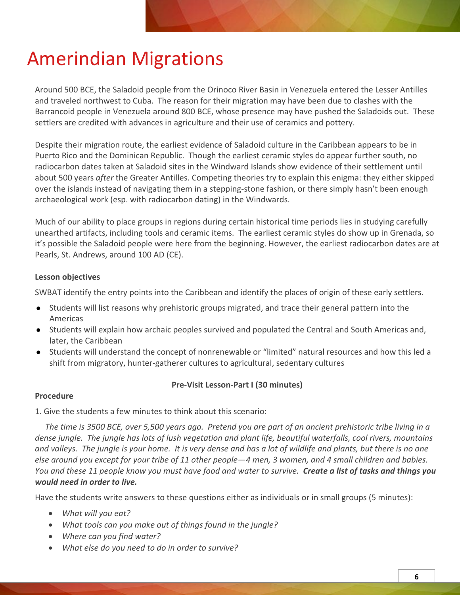Around 500 BCE, the Saladoid people from the Orinoco River Basin in Venezuela entered the Lesser Antilles and traveled northwest to Cuba. The reason for their migration may have been due to clashes with the Barrancoid people in Venezuela around 800 BCE, whose presence may have pushed the Saladoids out. These settlers are credited with advances in agriculture and their use of ceramics and pottery.

Despite their migration route, the earliest evidence of Saladoid culture in the Caribbean appears to be in Puerto Rico and the Dominican Republic. Though the earliest ceramic styles do appear further south, no radiocarbon dates taken at Saladoid sites in the Windward Islands show evidence of their settlement until about 500 years *after* the Greater Antilles. Competing theories try to explain this enigma: they either skipped over the islands instead of navigating them in a stepping-stone fashion, or there simply hasn't been enough archaeological work (esp. with radiocarbon dating) in the Windwards.

Much of our ability to place groups in regions during certain historical time periods lies in studying carefully unearthed artifacts, including tools and ceramic items. The earliest ceramic styles do show up in Grenada, so it's possible the Saladoid people were here from the beginning. However, the earliest radiocarbon dates are at Pearls, St. Andrews, around 100 AD (CE).

#### **Lesson objectives**

SWBAT identify the entry points into the Caribbean and identify the places of origin of these early settlers.

- Students will list reasons why prehistoric groups migrated, and trace their general pattern into the Americas
- Students will explain how archaic peoples survived and populated the Central and South Americas and, later, the Caribbean
- Students will understand the concept of nonrenewable or "limited" natural resources and how this led a shift from migratory, hunter-gatherer cultures to agricultural, sedentary cultures

#### **Pre-Visit Lesson-Part I (30 minutes)**

#### **Procedure**

1. Give the students a few minutes to think about this scenario:

 *The time is 3500 BCE, over 5,500 years ago. Pretend you are part of an ancient prehistoric tribe living in a dense jungle. The jungle has lots of lush vegetation and plant life, beautiful waterfalls, cool rivers, mountains and valleys. The jungle is your home. It is very dense and has a lot of wildlife and plants, but there is no one else around you except for your tribe of 11 other people—4 men, 3 women, and 4 small children and babies. You and these 11 people know you must have food and water to survive. Create a list of tasks and things you would need in order to live.*

Have the students write answers to these questions either as individuals or in small groups (5 minutes):

- *What will you eat?*
- *What tools can you make out of things found in the jungle?*
- *Where can you find water?*
- *What else do you need to do in order to survive?*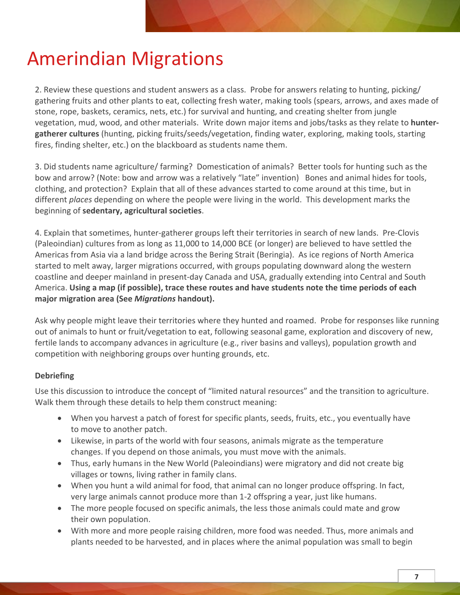2. Review these questions and student answers as a class. Probe for answers relating to hunting, picking/ gathering fruits and other plants to eat, collecting fresh water, making tools (spears, arrows, and axes made of stone, rope, baskets, ceramics, nets, etc.) for survival and hunting, and creating shelter from jungle vegetation, mud, wood, and other materials. Write down major items and jobs/tasks as they relate to **huntergatherer cultures** (hunting, picking fruits/seeds/vegetation, finding water, exploring, making tools, starting fires, finding shelter, etc.) on the blackboard as students name them.

3. Did students name agriculture/ farming? Domestication of animals? Better tools for hunting such as the bow and arrow? (Note: bow and arrow was a relatively "late" invention) Bones and animal hides for tools, clothing, and protection? Explain that all of these advances started to come around at this time, but in different *places* depending on where the people were living in the world. This development marks the beginning of **sedentary, agricultural societies**.

4. Explain that sometimes, hunter-gatherer groups left their territories in search of new lands. Pre-Clovis (Paleoindian) cultures from as long as 11,000 to 14,000 BCE (or longer) are believed to have settled the Americas from Asia via a land bridge across the Bering Strait (Beringia). As ice regions of North America started to melt away, larger migrations occurred, with groups populating downward along the western coastline and deeper mainland in present-day Canada and USA, gradually extending into Central and South America. **Using a map (if possible), trace these routes and have students note the time periods of each major migration area (See** *Migrations* **handout).** 

Ask why people might leave their territories where they hunted and roamed. Probe for responses like running out of animals to hunt or fruit/vegetation to eat, following seasonal game, exploration and discovery of new, fertile lands to accompany advances in agriculture (e.g., river basins and valleys), population growth and competition with neighboring groups over hunting grounds, etc.

#### **Debriefing**

Use this discussion to introduce the concept of "limited natural resources" and the transition to agriculture. Walk them through these details to help them construct meaning:

- When you harvest a patch of forest for specific plants, seeds, fruits, etc., you eventually have to move to another patch.
- Likewise, in parts of the world with four seasons, animals migrate as the temperature changes. If you depend on those animals, you must move with the animals.
- Thus, early humans in the New World (Paleoindians) were migratory and did not create big villages or towns, living rather in family clans.
- When you hunt a wild animal for food, that animal can no longer produce offspring. In fact, very large animals cannot produce more than 1-2 offspring a year, just like humans.
- The more people focused on specific animals, the less those animals could mate and grow their own population.
- With more and more people raising children, more food was needed. Thus, more animals and plants needed to be harvested, and in places where the animal population was small to begin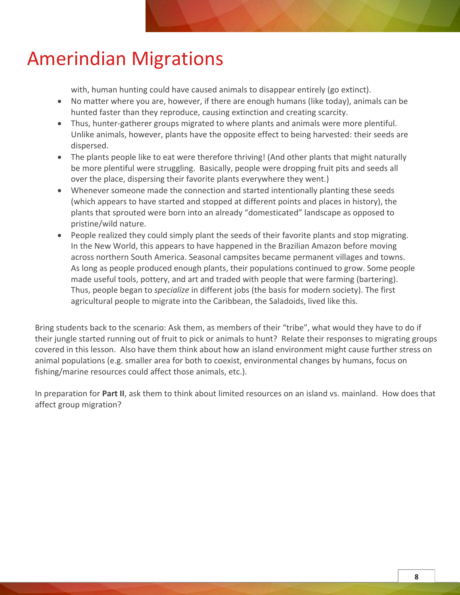with, human hunting could have caused animals to disappear entirely (go extinct).

- No matter where you are, however, if there are enough humans (like today), animals can be hunted faster than they reproduce, causing extinction and creating scarcity.
- Thus, hunter-gatherer groups migrated to where plants and animals were more plentiful. Unlike animals, however, plants have the opposite effect to being harvested: their seeds are dispersed.
- The plants people like to eat were therefore thriving! (And other plants that might naturally be more plentiful were struggling. Basically, people were dropping fruit pits and seeds all over the place, dispersing their favorite plants everywhere they went.)
- Whenever someone made the connection and started intentionally planting these seeds (which appears to have started and stopped at different points and places in history), the plants that sprouted were born into an already "domesticated" landscape as opposed to pristine/wild nature.
- People realized they could simply plant the seeds of their favorite plants and stop migrating. In the New World, this appears to have happened in the Brazilian Amazon before moving across northern South America. Seasonal campsites became permanent villages and towns. As long as people produced enough plants, their populations continued to grow. Some people made useful tools, pottery, and art and traded with people that were farming (bartering). Thus, people began to *specialize* in different jobs (the basis for modern society). The first agricultural people to migrate into the Caribbean, the Saladoids, lived like this.

Bring students back to the scenario: Ask them, as members of their "tribe", what would they have to do if their jungle started running out of fruit to pick or animals to hunt? Relate their responses to migrating groups covered in this lesson. Also have them think about how an island environment might cause further stress on animal populations (e.g. smaller area for both to coexist, environmental changes by humans, focus on fishing/marine resources could affect those animals, etc.).

In preparation for **Part II**, ask them to think about limited resources on an island vs. mainland. How does that affect group migration?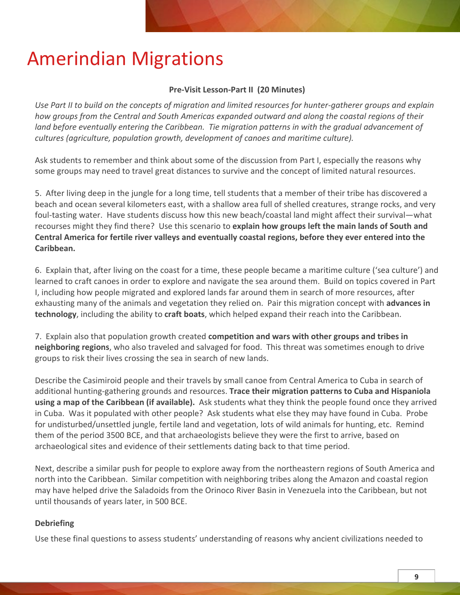#### **Pre-Visit Lesson-Part II (20 Minutes)**

*Use Part II to build on the concepts of migration and limited resources for hunter-gatherer groups and explain how groups from the Central and South Americas expanded outward and along the coastal regions of their*  land before eventually entering the Caribbean. Tie migration patterns in with the gradual advancement of *cultures (agriculture, population growth, development of canoes and maritime culture).*

Ask students to remember and think about some of the discussion from Part I, especially the reasons why some groups may need to travel great distances to survive and the concept of limited natural resources.

5. After living deep in the jungle for a long time, tell students that a member of their tribe has discovered a beach and ocean several kilometers east, with a shallow area full of shelled creatures, strange rocks, and very foul-tasting water. Have students discuss how this new beach/coastal land might affect their survival—what recourses might they find there? Use this scenario to **explain how groups left the main lands of South and Central America for fertile river valleys and eventually coastal regions, before they ever entered into the Caribbean.**

6. Explain that, after living on the coast for a time, these people became a maritime culture ('sea culture') and learned to craft canoes in order to explore and navigate the sea around them. Build on topics covered in Part I, including how people migrated and explored lands far around them in search of more resources, after exhausting many of the animals and vegetation they relied on. Pair this migration concept with **advances in technology**, including the ability to **craft boats**, which helped expand their reach into the Caribbean.

7. Explain also that population growth created **competition and wars with other groups and tribes in neighboring regions**, who also traveled and salvaged for food. This threat was sometimes enough to drive groups to risk their lives crossing the sea in search of new lands.

Describe the Casimiroid people and their travels by small canoe from Central America to Cuba in search of additional hunting-gathering grounds and resources. **Trace their migration patterns to Cuba and Hispaniola using a map of the Caribbean (if available).** Ask students what they think the people found once they arrived in Cuba. Was it populated with other people? Ask students what else they may have found in Cuba. Probe for undisturbed/unsettled jungle, fertile land and vegetation, lots of wild animals for hunting, etc. Remind them of the period 3500 BCE, and that archaeologists believe they were the first to arrive, based on archaeological sites and evidence of their settlements dating back to that time period.

Next, describe a similar push for people to explore away from the northeastern regions of South America and north into the Caribbean. Similar competition with neighboring tribes along the Amazon and coastal region may have helped drive the Saladoids from the Orinoco River Basin in Venezuela into the Caribbean, but not until thousands of years later, in 500 BCE.

#### **Debriefing**

Use these final questions to assess students' understanding of reasons why ancient civilizations needed to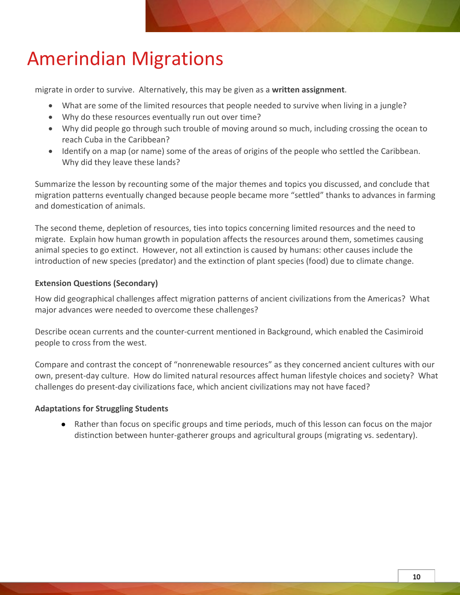migrate in order to survive. Alternatively, this may be given as a **written assignment**.

- What are some of the limited resources that people needed to survive when living in a jungle?
- Why do these resources eventually run out over time?
- Why did people go through such trouble of moving around so much, including crossing the ocean to reach Cuba in the Caribbean?
- Identify on a map (or name) some of the areas of origins of the people who settled the Caribbean. Why did they leave these lands?

Summarize the lesson by recounting some of the major themes and topics you discussed, and conclude that migration patterns eventually changed because people became more "settled" thanks to advances in farming and domestication of animals.

The second theme, depletion of resources, ties into topics concerning limited resources and the need to migrate. Explain how human growth in population affects the resources around them, sometimes causing animal species to go extinct. However, not all extinction is caused by humans: other causes include the introduction of new species (predator) and the extinction of plant species (food) due to climate change.

#### **Extension Questions (Secondary)**

How did geographical challenges affect migration patterns of ancient civilizations from the Americas? What major advances were needed to overcome these challenges?

Describe ocean currents and the counter-current mentioned in Background, which enabled the Casimiroid people to cross from the west.

Compare and contrast the concept of "nonrenewable resources" as they concerned ancient cultures with our own, present-day culture. How do limited natural resources affect human lifestyle choices and society? What challenges do present-day civilizations face, which ancient civilizations may not have faced?

#### **Adaptations for Struggling Students**

● Rather than focus on specific groups and time periods, much of this lesson can focus on the major distinction between hunter-gatherer groups and agricultural groups (migrating vs. sedentary).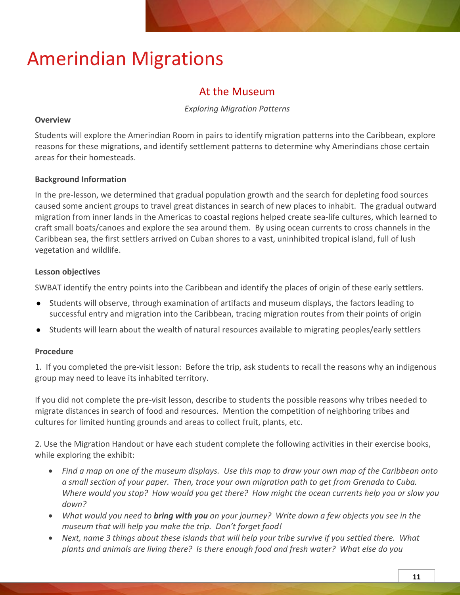### At the Museum

#### *Exploring Migration Patterns*

#### **Overview**

Students will explore the Amerindian Room in pairs to identify migration patterns into the Caribbean, explore reasons for these migrations, and identify settlement patterns to determine why Amerindians chose certain areas for their homesteads.

#### **Background Information**

In the pre-lesson, we determined that gradual population growth and the search for depleting food sources caused some ancient groups to travel great distances in search of new places to inhabit. The gradual outward migration from inner lands in the Americas to coastal regions helped create sea-life cultures, which learned to craft small boats/canoes and explore the sea around them. By using ocean currents to cross channels in the Caribbean sea, the first settlers arrived on Cuban shores to a vast, uninhibited tropical island, full of lush vegetation and wildlife.

#### **Lesson objectives**

SWBAT identify the entry points into the Caribbean and identify the places of origin of these early settlers.

- Students will observe, through examination of artifacts and museum displays, the factors leading to successful entry and migration into the Caribbean, tracing migration routes from their points of origin
- Students will learn about the wealth of natural resources available to migrating peoples/early settlers

#### **Procedure**

1. If you completed the pre-visit lesson: Before the trip, ask students to recall the reasons why an indigenous group may need to leave its inhabited territory.

If you did not complete the pre-visit lesson, describe to students the possible reasons why tribes needed to migrate distances in search of food and resources. Mention the competition of neighboring tribes and cultures for limited hunting grounds and areas to collect fruit, plants, etc.

2. Use the Migration Handout or have each student complete the following activities in their exercise books, while exploring the exhibit:

- *Find a map on one of the museum displays. Use this map to draw your own map of the Caribbean onto a small section of your paper. Then, trace your own migration path to get from Grenada to Cuba. Where would you stop? How would you get there? How might the ocean currents help you or slow you down?*
- *What would you need to bring with you on your journey? Write down a few objects you see in the museum that will help you make the trip. Don't forget food!*
- *Next, name 3 things about these islands that will help your tribe survive if you settled there. What plants and animals are living there? Is there enough food and fresh water? What else do you*